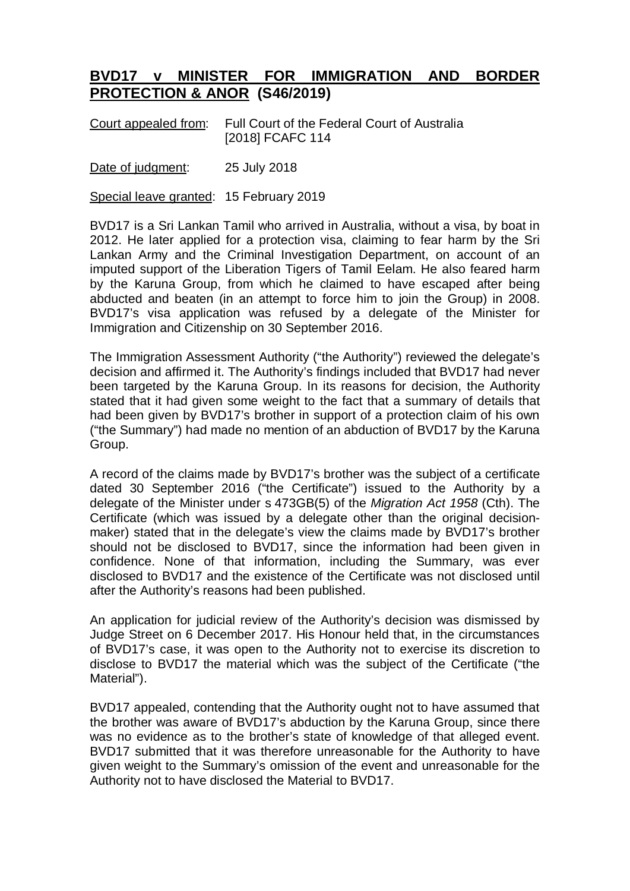## **BVD17 v MINISTER FOR IMMIGRATION AND BORDER PROTECTION & ANOR (S46/2019)**

Court appealed from: Full Court of the Federal Court of Australia [2018] FCAFC 114

Date of judgment: 25 July 2018

Special leave granted: 15 February 2019

BVD17 is a Sri Lankan Tamil who arrived in Australia, without a visa, by boat in 2012. He later applied for a protection visa, claiming to fear harm by the Sri Lankan Army and the Criminal Investigation Department, on account of an imputed support of the Liberation Tigers of Tamil Eelam. He also feared harm by the Karuna Group, from which he claimed to have escaped after being abducted and beaten (in an attempt to force him to join the Group) in 2008. BVD17's visa application was refused by a delegate of the Minister for Immigration and Citizenship on 30 September 2016.

The Immigration Assessment Authority ("the Authority") reviewed the delegate's decision and affirmed it. The Authority's findings included that BVD17 had never been targeted by the Karuna Group. In its reasons for decision, the Authority stated that it had given some weight to the fact that a summary of details that had been given by BVD17's brother in support of a protection claim of his own ("the Summary") had made no mention of an abduction of BVD17 by the Karuna Group.

A record of the claims made by BVD17's brother was the subject of a certificate dated 30 September 2016 ("the Certificate") issued to the Authority by a delegate of the Minister under s 473GB(5) of the *Migration Act 1958* (Cth). The Certificate (which was issued by a delegate other than the original decisionmaker) stated that in the delegate's view the claims made by BVD17's brother should not be disclosed to BVD17, since the information had been given in confidence. None of that information, including the Summary, was ever disclosed to BVD17 and the existence of the Certificate was not disclosed until after the Authority's reasons had been published.

An application for judicial review of the Authority's decision was dismissed by Judge Street on 6 December 2017. His Honour held that, in the circumstances of BVD17's case, it was open to the Authority not to exercise its discretion to disclose to BVD17 the material which was the subject of the Certificate ("the Material").

BVD17 appealed, contending that the Authority ought not to have assumed that the brother was aware of BVD17's abduction by the Karuna Group, since there was no evidence as to the brother's state of knowledge of that alleged event. BVD17 submitted that it was therefore unreasonable for the Authority to have given weight to the Summary's omission of the event and unreasonable for the Authority not to have disclosed the Material to BVD17.